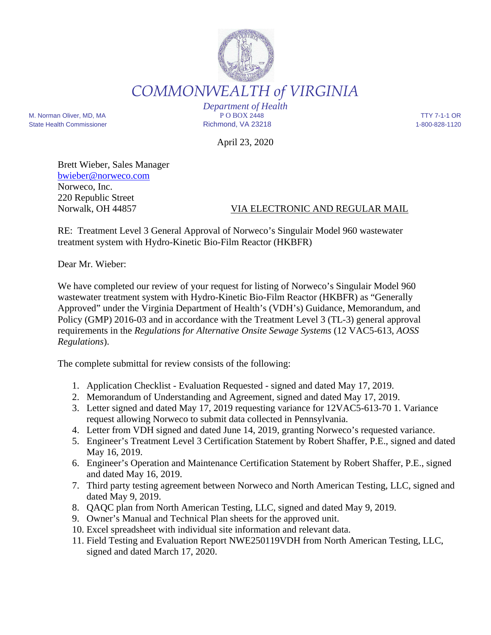

*COMMONWEALTH of VIRGINIA* 

*Department of Health* M. Norman Oliver, MD, MA P O BOX 2448 TTY 7-1-1 OR State Health Commissioner **Richmond, VA 23218** 1-800-828-1120

April 23, 2020

Brett Wieber, Sales Manager bwieber@norweco.com Norweco, Inc. 220 Republic Street

## Norwalk, OH 44857 VIA ELECTRONIC AND REGULAR MAIL

RE: Treatment Level 3 General Approval of Norweco's Singulair Model 960 wastewater treatment system with Hydro-Kinetic Bio-Film Reactor (HKBFR)

Dear Mr. Wieber:

We have completed our review of your request for listing of Norweco's Singulair Model 960 wastewater treatment system with Hydro-Kinetic Bio-Film Reactor (HKBFR) as "Generally Approved" under the Virginia Department of Health's (VDH's) Guidance, Memorandum, and Policy (GMP) 2016-03 and in accordance with the Treatment Level 3 (TL-3) general approval requirements in the *Regulations for Alternative Onsite Sewage Systems* (12 VAC5-613, *AOSS Regulations*).

The complete submittal for review consists of the following:

- 1. Application Checklist Evaluation Requested signed and dated May 17, 2019.
- 2. Memorandum of Understanding and Agreement, signed and dated May 17, 2019.
- 3. Letter signed and dated May 17, 2019 requesting variance for 12VAC5-613-70 1. Variance request allowing Norweco to submit data collected in Pennsylvania.
- 4. Letter from VDH signed and dated June 14, 2019, granting Norweco's requested variance.
- 5. Engineer's Treatment Level 3 Certification Statement by Robert Shaffer, P.E., signed and dated May 16, 2019.
- 6. Engineer's Operation and Maintenance Certification Statement by Robert Shaffer, P.E., signed and dated May 16, 2019.
- 7. Third party testing agreement between Norweco and North American Testing, LLC, signed and dated May 9, 2019.
- 8. QAQC plan from North American Testing, LLC, signed and dated May 9, 2019.
- 9. Owner's Manual and Technical Plan sheets for the approved unit.
- 10. Excel spreadsheet with individual site information and relevant data.
- 11. Field Testing and Evaluation Report NWE250119VDH from North American Testing, LLC, signed and dated March 17, 2020.